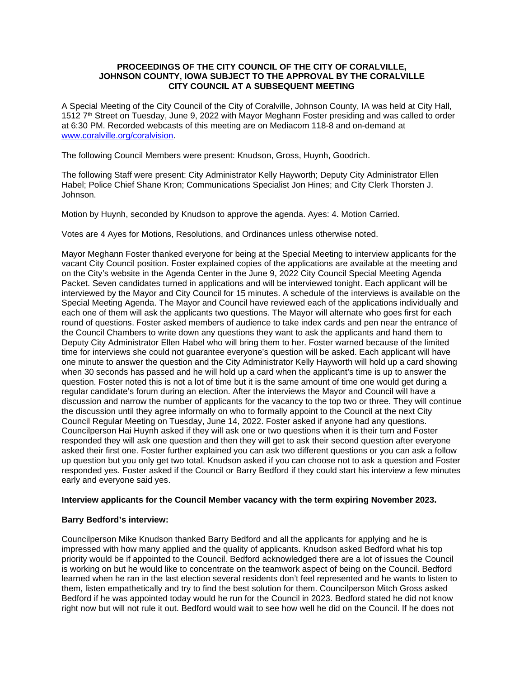# **PROCEEDINGS OF THE CITY COUNCIL OF THE CITY OF CORALVILLE, JOHNSON COUNTY, IOWA SUBJECT TO THE APPROVAL BY THE CORALVILLE CITY COUNCIL AT A SUBSEQUENT MEETING**

A Special Meeting of the City Council of the City of Coralville, Johnson County, IA was held at City Hall, 1512 7<sup>th</sup> Street on Tuesday, June 9, 2022 with Mayor Meghann Foster presiding and was called to order at 6:30 PM. Recorded webcasts of this meeting are on Mediacom 118-8 and on-demand at [www.coralville.org/coralvision.](http://www.coralville.org/coralvision)

The following Council Members were present: Knudson, Gross, Huynh, Goodrich.

The following Staff were present: City Administrator Kelly Hayworth; Deputy City Administrator Ellen Habel; Police Chief Shane Kron; Communications Specialist Jon Hines; and City Clerk Thorsten J. Johnson.

Motion by Huynh, seconded by Knudson to approve the agenda. Ayes: 4. Motion Carried.

Votes are 4 Ayes for Motions, Resolutions, and Ordinances unless otherwise noted.

Mayor Meghann Foster thanked everyone for being at the Special Meeting to interview applicants for the vacant City Council position. Foster explained copies of the applications are available at the meeting and on the City's website in the Agenda Center in the June 9, 2022 City Council Special Meeting Agenda Packet. Seven candidates turned in applications and will be interviewed tonight. Each applicant will be interviewed by the Mayor and City Council for 15 minutes. A schedule of the interviews is available on the Special Meeting Agenda. The Mayor and Council have reviewed each of the applications individually and each one of them will ask the applicants two questions. The Mayor will alternate who goes first for each round of questions. Foster asked members of audience to take index cards and pen near the entrance of the Council Chambers to write down any questions they want to ask the applicants and hand them to Deputy City Administrator Ellen Habel who will bring them to her. Foster warned because of the limited time for interviews she could not guarantee everyone's question will be asked. Each applicant will have one minute to answer the question and the City Administrator Kelly Hayworth will hold up a card showing when 30 seconds has passed and he will hold up a card when the applicant's time is up to answer the question. Foster noted this is not a lot of time but it is the same amount of time one would get during a regular candidate's forum during an election. After the interviews the Mayor and Council will have a discussion and narrow the number of applicants for the vacancy to the top two or three. They will continue the discussion until they agree informally on who to formally appoint to the Council at the next City Council Regular Meeting on Tuesday, June 14, 2022. Foster asked if anyone had any questions. Councilperson Hai Huynh asked if they will ask one or two questions when it is their turn and Foster responded they will ask one question and then they will get to ask their second question after everyone asked their first one. Foster further explained you can ask two different questions or you can ask a follow up question but you only get two total. Knudson asked if you can choose not to ask a question and Foster responded yes. Foster asked if the Council or Barry Bedford if they could start his interview a few minutes early and everyone said yes.

## **Interview applicants for the Council Member vacancy with the term expiring November 2023.**

## **Barry Bedford's interview:**

Councilperson Mike Knudson thanked Barry Bedford and all the applicants for applying and he is impressed with how many applied and the quality of applicants. Knudson asked Bedford what his top priority would be if appointed to the Council. Bedford acknowledged there are a lot of issues the Council is working on but he would like to concentrate on the teamwork aspect of being on the Council. Bedford learned when he ran in the last election several residents don't feel represented and he wants to listen to them, listen empathetically and try to find the best solution for them. Councilperson Mitch Gross asked Bedford if he was appointed today would he run for the Council in 2023. Bedford stated he did not know right now but will not rule it out. Bedford would wait to see how well he did on the Council. If he does not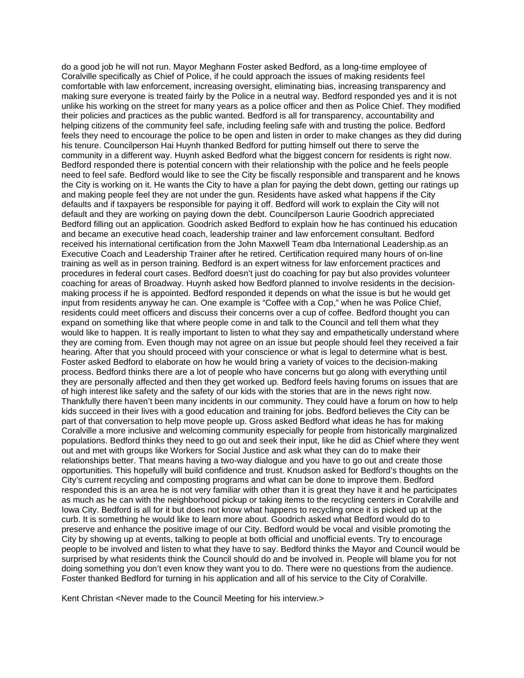do a good job he will not run. Mayor Meghann Foster asked Bedford, as a long-time employee of Coralville specifically as Chief of Police, if he could approach the issues of making residents feel comfortable with law enforcement, increasing oversight, eliminating bias, increasing transparency and making sure everyone is treated fairly by the Police in a neutral way. Bedford responded yes and it is not unlike his working on the street for many years as a police officer and then as Police Chief. They modified their policies and practices as the public wanted. Bedford is all for transparency, accountability and helping citizens of the community feel safe, including feeling safe with and trusting the police. Bedford feels they need to encourage the police to be open and listen in order to make changes as they did during his tenure. Councilperson Hai Huynh thanked Bedford for putting himself out there to serve the community in a different way. Huynh asked Bedford what the biggest concern for residents is right now. Bedford responded there is potential concern with their relationship with the police and he feels people need to feel safe. Bedford would like to see the City be fiscally responsible and transparent and he knows the City is working on it. He wants the City to have a plan for paying the debt down, getting our ratings up and making people feel they are not under the gun. Residents have asked what happens if the City defaults and if taxpayers be responsible for paying it off. Bedford will work to explain the City will not default and they are working on paying down the debt. Councilperson Laurie Goodrich appreciated Bedford filling out an application. Goodrich asked Bedford to explain how he has continued his education and became an executive head coach, leadership trainer and law enforcement consultant. Bedford received his international certification from the John Maxwell Team dba International Leadership.as an Executive Coach and Leadership Trainer after he retired. Certification required many hours of on-line training as well as in person training. Bedford is an expert witness for law enforcement practices and procedures in federal court cases. Bedford doesn't just do coaching for pay but also provides volunteer coaching for areas of Broadway. Huynh asked how Bedford planned to involve residents in the decisionmaking process if he is appointed. Bedford responded it depends on what the issue is but he would get input from residents anyway he can. One example is "Coffee with a Cop," when he was Police Chief, residents could meet officers and discuss their concerns over a cup of coffee. Bedford thought you can expand on something like that where people come in and talk to the Council and tell them what they would like to happen. It is really important to listen to what they say and empathetically understand where they are coming from. Even though may not agree on an issue but people should feel they received a fair hearing. After that you should proceed with your conscience or what is legal to determine what is best. Foster asked Bedford to elaborate on how he would bring a variety of voices to the decision-making process. Bedford thinks there are a lot of people who have concerns but go along with everything until they are personally affected and then they get worked up. Bedford feels having forums on issues that are of high interest like safety and the safety of our kids with the stories that are in the news right now. Thankfully there haven't been many incidents in our community. They could have a forum on how to help kids succeed in their lives with a good education and training for jobs. Bedford believes the City can be part of that conversation to help move people up. Gross asked Bedford what ideas he has for making Coralville a more inclusive and welcoming community especially for people from historically marginalized populations. Bedford thinks they need to go out and seek their input, like he did as Chief where they went out and met with groups like Workers for Social Justice and ask what they can do to make their relationships better. That means having a two-way dialogue and you have to go out and create those opportunities. This hopefully will build confidence and trust. Knudson asked for Bedford's thoughts on the City's current recycling and composting programs and what can be done to improve them. Bedford responded this is an area he is not very familiar with other than it is great they have it and he participates as much as he can with the neighborhood pickup or taking items to the recycling centers in Coralville and Iowa City. Bedford is all for it but does not know what happens to recycling once it is picked up at the curb. It is something he would like to learn more about. Goodrich asked what Bedford would do to preserve and enhance the positive image of our City. Bedford would be vocal and visible promoting the City by showing up at events, talking to people at both official and unofficial events. Try to encourage people to be involved and listen to what they have to say. Bedford thinks the Mayor and Council would be surprised by what residents think the Council should do and be involved in. People will blame you for not doing something you don't even know they want you to do. There were no questions from the audience. Foster thanked Bedford for turning in his application and all of his service to the City of Coralville.

Kent Christan <Never made to the Council Meeting for his interview.>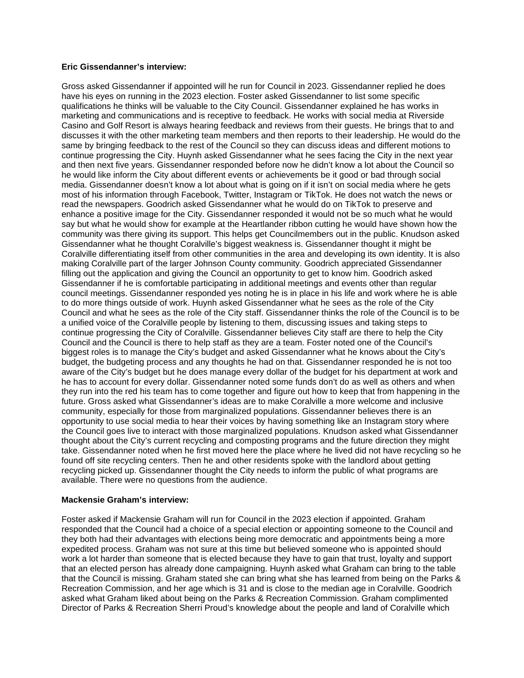## **Eric Gissendanner's interview:**

Gross asked Gissendanner if appointed will he run for Council in 2023. Gissendanner replied he does have his eyes on running in the 2023 election. Foster asked Gissendanner to list some specific qualifications he thinks will be valuable to the City Council. Gissendanner explained he has works in marketing and communications and is receptive to feedback. He works with social media at Riverside Casino and Golf Resort is always hearing feedback and reviews from their guests. He brings that to and discusses it with the other marketing team members and then reports to their leadership. He would do the same by bringing feedback to the rest of the Council so they can discuss ideas and different motions to continue progressing the City. Huynh asked Gissendanner what he sees facing the City in the next year and then next five years. Gissendanner responded before now he didn't know a lot about the Council so he would like inform the City about different events or achievements be it good or bad through social media. Gissendanner doesn't know a lot about what is going on if it isn't on social media where he gets most of his information through Facebook, Twitter, Instagram or TikTok. He does not watch the news or read the newspapers. Goodrich asked Gissendanner what he would do on TikTok to preserve and enhance a positive image for the City. Gissendanner responded it would not be so much what he would say but what he would show for example at the Heartlander ribbon cutting he would have shown how the community was there giving its support. This helps get Councilmembers out in the public. Knudson asked Gissendanner what he thought Coralville's biggest weakness is. Gissendanner thought it might be Coralville differentiating itself from other communities in the area and developing its own identity. It is also making Coralville part of the larger Johnson County community. Goodrich appreciated Gissendanner filling out the application and giving the Council an opportunity to get to know him. Goodrich asked Gissendanner if he is comfortable participating in additional meetings and events other than regular council meetings. Gissendanner responded yes noting he is in place in his life and work where he is able to do more things outside of work. Huynh asked Gissendanner what he sees as the role of the City Council and what he sees as the role of the City staff. Gissendanner thinks the role of the Council is to be a unified voice of the Coralville people by listening to them, discussing issues and taking steps to continue progressing the City of Coralville. Gissendanner believes City staff are there to help the City Council and the Council is there to help staff as they are a team. Foster noted one of the Council's biggest roles is to manage the City's budget and asked Gissendanner what he knows about the City's budget, the budgeting process and any thoughts he had on that. Gissendanner responded he is not too aware of the City's budget but he does manage every dollar of the budget for his department at work and he has to account for every dollar. Gissendanner noted some funds don't do as well as others and when they run into the red his team has to come together and figure out how to keep that from happening in the future. Gross asked what Gissendanner's ideas are to make Coralville a more welcome and inclusive community, especially for those from marginalized populations. Gissendanner believes there is an opportunity to use social media to hear their voices by having something like an Instagram story where the Council goes live to interact with those marginalized populations. Knudson asked what Gissendanner thought about the City's current recycling and composting programs and the future direction they might take. Gissendanner noted when he first moved here the place where he lived did not have recycling so he found off site recycling centers. Then he and other residents spoke with the landlord about getting recycling picked up. Gissendanner thought the City needs to inform the public of what programs are available. There were no questions from the audience.

## **Mackensie Graham's interview:**

Foster asked if Mackensie Graham will run for Council in the 2023 election if appointed. Graham responded that the Council had a choice of a special election or appointing someone to the Council and they both had their advantages with elections being more democratic and appointments being a more expedited process. Graham was not sure at this time but believed someone who is appointed should work a lot harder than someone that is elected because they have to gain that trust, loyalty and support that an elected person has already done campaigning. Huynh asked what Graham can bring to the table that the Council is missing. Graham stated she can bring what she has learned from being on the Parks & Recreation Commission, and her age which is 31 and is close to the median age in Coralville. Goodrich asked what Graham liked about being on the Parks & Recreation Commission. Graham complimented Director of Parks & Recreation Sherri Proud's knowledge about the people and land of Coralville which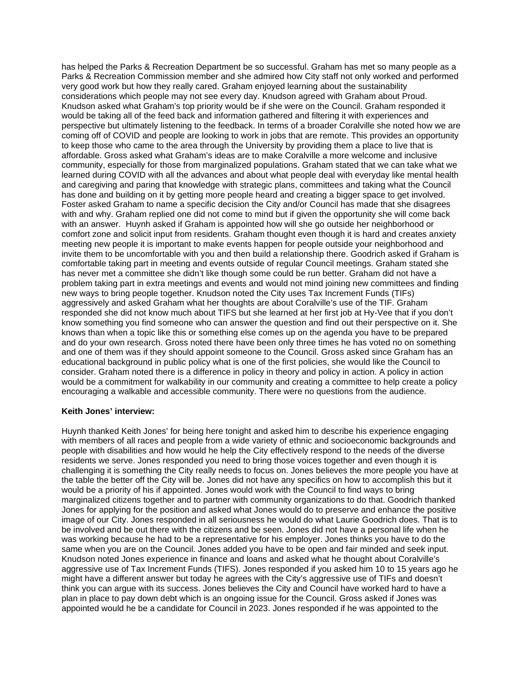has helped the Parks & Recreation Department be so successful. Graham has met so many people as a Parks & Recreation Commission member and she admired how City staff not only worked and performed very good work but how they really cared. Graham enjoyed learning about the sustainability considerations which people may not see every day. Knudson agreed with Graham about Proud. Knudson asked what Graham's top priority would be if she were on the Council. Graham responded it would be taking all of the feed back and information gathered and filtering it with experiences and perspective but ultimately listening to the feedback. In terms of a broader Coralville she noted how we are coming off of COVID and people are looking to work in jobs that are remote. This provides an opportunity to keep those who came to the area through the University by providing them a place to live that is affordable. Gross asked what Graham's ideas are to make Coralville a more welcome and inclusive community, especially for those from marginalized populations. Graham stated that we can take what we learned during COVID with all the advances and about what people deal with everyday like mental health and caregiving and paring that knowledge with strategic plans, committees and taking what the Council has done and building on it by getting more people heard and creating a bigger space to get involved. Foster asked Graham to name a specific decision the City and/or Council has made that she disagrees with and why. Graham replied one did not come to mind but if given the opportunity she will come back with an answer. Huynh asked if Graham is appointed how will she go outside her neighborhood or comfort zone and solicit input from residents. Graham thought even though it is hard and creates anxiety meeting new people it is important to make events happen for people outside your neighborhood and invite them to be uncomfortable with you and then build a relationship there. Goodrich asked if Graham is comfortable taking part in meeting and events outside of regular Council meetings. Graham stated she has never met a committee she didn't like though some could be run better. Graham did not have a problem taking part in extra meetings and events and would not mind joining new committees and finding new ways to bring people together. Knudson noted the City uses Tax Increment Funds (TIFs) aggressively and asked Graham what her thoughts are about Coralville's use of the TIF. Graham responded she did not know much about TIFS but she learned at her first job at Hy-Vee that if you don't know something you find someone who can answer the question and find out their perspective on it. She knows than when a topic like this or something else comes up on the agenda you have to be prepared and do your own research. Gross noted there have been only three times he has voted no on something and one of them was if they should appoint someone to the Council. Gross asked since Graham has an educational background in public policy what is one of the first policies, she would like the Council to consider. Graham noted there is a difference in policy in theory and policy in action. A policy in action would be a commitment for walkability in our community and creating a committee to help create a policy encouraging a walkable and accessible community. There were no questions from the audience.

## **Keith Jones' interview:**

Huynh thanked Keith Jones' for being here tonight and asked him to describe his experience engaging with members of all races and people from a wide variety of ethnic and socioeconomic backgrounds and people with disabilities and how would he help the City effectively respond to the needs of the diverse residents we serve. Jones responded you need to bring those voices together and even though it is challenging it is something the City really needs to focus on. Jones believes the more people you have at the table the better off the City will be. Jones did not have any specifics on how to accomplish this but it would be a priority of his if appointed. Jones would work with the Council to find ways to bring marginalized citizens together and to partner with community organizations to do that. Goodrich thanked Jones for applying for the position and asked what Jones would do to preserve and enhance the positive image of our City. Jones responded in all seriousness he would do what Laurie Goodrich does. That is to be involved and be out there with the citizens and be seen. Jones did not have a personal life when he was working because he had to be a representative for his employer. Jones thinks you have to do the same when you are on the Council. Jones added you have to be open and fair minded and seek input. Knudson noted Jones experience in finance and loans and asked what he thought about Coralville's aggressive use of Tax Increment Funds (TIFS). Jones responded if you asked him 10 to 15 years ago he might have a different answer but today he agrees with the City's aggressive use of TIFs and doesn't think you can argue with its success. Jones believes the City and Council have worked hard to have a plan in place to pay down debt which is an ongoing issue for the Council. Gross asked if Jones was appointed would he be a candidate for Council in 2023. Jones responded if he was appointed to the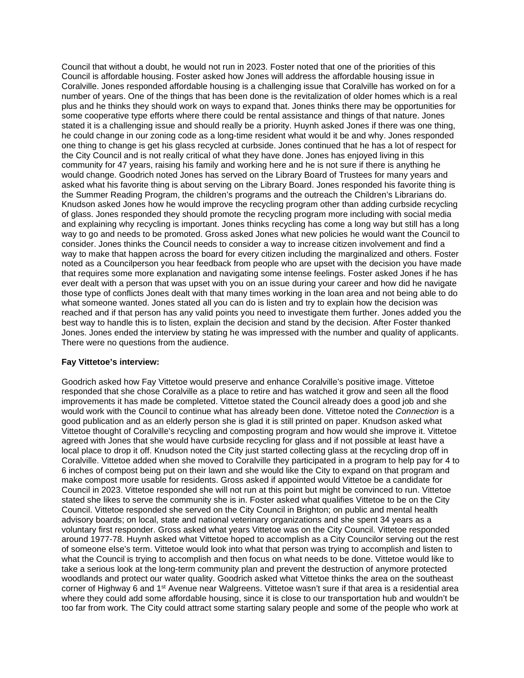Council that without a doubt, he would not run in 2023. Foster noted that one of the priorities of this Council is affordable housing. Foster asked how Jones will address the affordable housing issue in Coralville. Jones responded affordable housing is a challenging issue that Coralville has worked on for a number of years. One of the things that has been done is the revitalization of older homes which is a real plus and he thinks they should work on ways to expand that. Jones thinks there may be opportunities for some cooperative type efforts where there could be rental assistance and things of that nature. Jones stated it is a challenging issue and should really be a priority. Huynh asked Jones if there was one thing, he could change in our zoning code as a long-time resident what would it be and why. Jones responded one thing to change is get his glass recycled at curbside. Jones continued that he has a lot of respect for the City Council and is not really critical of what they have done. Jones has enjoyed living in this community for 47 years, raising his family and working here and he is not sure if there is anything he would change. Goodrich noted Jones has served on the Library Board of Trustees for many years and asked what his favorite thing is about serving on the Library Board. Jones responded his favorite thing is the Summer Reading Program, the children's programs and the outreach the Children's Librarians do. Knudson asked Jones how he would improve the recycling program other than adding curbside recycling of glass. Jones responded they should promote the recycling program more including with social media and explaining why recycling is important. Jones thinks recycling has come a long way but still has a long way to go and needs to be promoted. Gross asked Jones what new policies he would want the Council to consider. Jones thinks the Council needs to consider a way to increase citizen involvement and find a way to make that happen across the board for every citizen including the marginalized and others. Foster noted as a Councilperson you hear feedback from people who are upset with the decision you have made that requires some more explanation and navigating some intense feelings. Foster asked Jones if he has ever dealt with a person that was upset with you on an issue during your career and how did he navigate those type of conflicts Jones dealt with that many times working in the loan area and not being able to do what someone wanted. Jones stated all you can do is listen and try to explain how the decision was reached and if that person has any valid points you need to investigate them further. Jones added you the best way to handle this is to listen, explain the decision and stand by the decision. After Foster thanked Jones. Jones ended the interview by stating he was impressed with the number and quality of applicants. There were no questions from the audience.

## **Fay Vittetoe's interview:**

Goodrich asked how Fay Vittetoe would preserve and enhance Coralville's positive image. Vittetoe responded that she chose Coralville as a place to retire and has watched it grow and seen all the flood improvements it has made be completed. Vittetoe stated the Council already does a good job and she would work with the Council to continue what has already been done. Vittetoe noted the *Connection* is a good publication and as an elderly person she is glad it is still printed on paper. Knudson asked what Vittetoe thought of Coralville's recycling and composting program and how would she improve it. Vittetoe agreed with Jones that she would have curbside recycling for glass and if not possible at least have a local place to drop it off. Knudson noted the City just started collecting glass at the recycling drop off in Coralville. Vittetoe added when she moved to Coralville they participated in a program to help pay for 4 to 6 inches of compost being put on their lawn and she would like the City to expand on that program and make compost more usable for residents. Gross asked if appointed would Vittetoe be a candidate for Council in 2023. Vittetoe responded she will not run at this point but might be convinced to run. Vittetoe stated she likes to serve the community she is in. Foster asked what qualifies Vittetoe to be on the City Council. Vittetoe responded she served on the City Council in Brighton; on public and mental health advisory boards; on local, state and national veterinary organizations and she spent 34 years as a voluntary first responder. Gross asked what years Vittetoe was on the City Council. Vittetoe responded around 1977-78. Huynh asked what Vittetoe hoped to accomplish as a City Councilor serving out the rest of someone else's term. Vittetoe would look into what that person was trying to accomplish and listen to what the Council is trying to accomplish and then focus on what needs to be done. Vittetoe would like to take a serious look at the long-term community plan and prevent the destruction of anymore protected woodlands and protect our water quality. Goodrich asked what Vittetoe thinks the area on the southeast corner of Highway 6 and 1<sup>st</sup> Avenue near Walgreens. Vittetoe wasn't sure if that area is a residential area where they could add some affordable housing, since it is close to our transportation hub and wouldn't be too far from work. The City could attract some starting salary people and some of the people who work at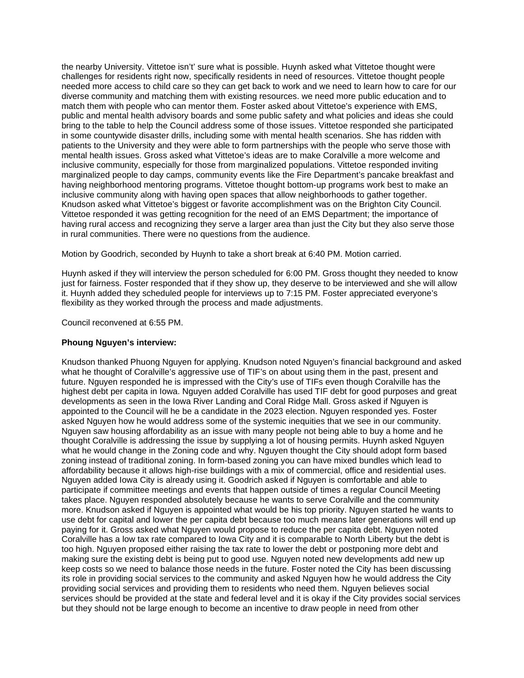the nearby University. Vittetoe isn't' sure what is possible. Huynh asked what Vittetoe thought were challenges for residents right now, specifically residents in need of resources. Vittetoe thought people needed more access to child care so they can get back to work and we need to learn how to care for our diverse community and matching them with existing resources. we need more public education and to match them with people who can mentor them. Foster asked about Vittetoe's experience with EMS, public and mental health advisory boards and some public safety and what policies and ideas she could bring to the table to help the Council address some of those issues. Vittetoe responded she participated in some countywide disaster drills, including some with mental health scenarios. She has ridden with patients to the University and they were able to form partnerships with the people who serve those with mental health issues. Gross asked what Vittetoe's ideas are to make Coralville a more welcome and inclusive community, especially for those from marginalized populations. Vittetoe responded inviting marginalized people to day camps, community events like the Fire Department's pancake breakfast and having neighborhood mentoring programs. Vittetoe thought bottom-up programs work best to make an inclusive community along with having open spaces that allow neighborhoods to gather together. Knudson asked what Vittetoe's biggest or favorite accomplishment was on the Brighton City Council. Vittetoe responded it was getting recognition for the need of an EMS Department; the importance of having rural access and recognizing they serve a larger area than just the City but they also serve those in rural communities. There were no questions from the audience.

Motion by Goodrich, seconded by Huynh to take a short break at 6:40 PM. Motion carried.

Huynh asked if they will interview the person scheduled for 6:00 PM. Gross thought they needed to know just for fairness. Foster responded that if they show up, they deserve to be interviewed and she will allow it. Huynh added they scheduled people for interviews up to 7:15 PM. Foster appreciated everyone's flexibility as they worked through the process and made adjustments.

Council reconvened at 6:55 PM.

## **Phoung Nguyen's interview:**

Knudson thanked Phuong Nguyen for applying. Knudson noted Nguyen's financial background and asked what he thought of Coralville's aggressive use of TIF's on about using them in the past, present and future. Nguyen responded he is impressed with the City's use of TIFs even though Coralville has the highest debt per capita in Iowa. Nguyen added Coralville has used TIF debt for good purposes and great developments as seen in the Iowa River Landing and Coral Ridge Mall. Gross asked if Nguyen is appointed to the Council will he be a candidate in the 2023 election. Nguyen responded yes. Foster asked Nguyen how he would address some of the systemic inequities that we see in our community. Nguyen saw housing affordability as an issue with many people not being able to buy a home and he thought Coralville is addressing the issue by supplying a lot of housing permits. Huynh asked Nguyen what he would change in the Zoning code and why. Nguyen thought the City should adopt form based zoning instead of traditional zoning. In form-based zoning you can have mixed bundles which lead to affordability because it allows high-rise buildings with a mix of commercial, office and residential uses. Nguyen added Iowa City is already using it. Goodrich asked if Nguyen is comfortable and able to participate if committee meetings and events that happen outside of times a regular Council Meeting takes place. Nguyen responded absolutely because he wants to serve Coralville and the community more. Knudson asked if Nguyen is appointed what would be his top priority. Nguyen started he wants to use debt for capital and lower the per capita debt because too much means later generations will end up paying for it. Gross asked what Nguyen would propose to reduce the per capita debt. Nguyen noted Coralville has a low tax rate compared to Iowa City and it is comparable to North Liberty but the debt is too high. Nguyen proposed either raising the tax rate to lower the debt or postponing more debt and making sure the existing debt is being put to good use. Nguyen noted new developments add new up keep costs so we need to balance those needs in the future. Foster noted the City has been discussing its role in providing social services to the community and asked Nguyen how he would address the City providing social services and providing them to residents who need them. Nguyen believes social services should be provided at the state and federal level and it is okay if the City provides social services but they should not be large enough to become an incentive to draw people in need from other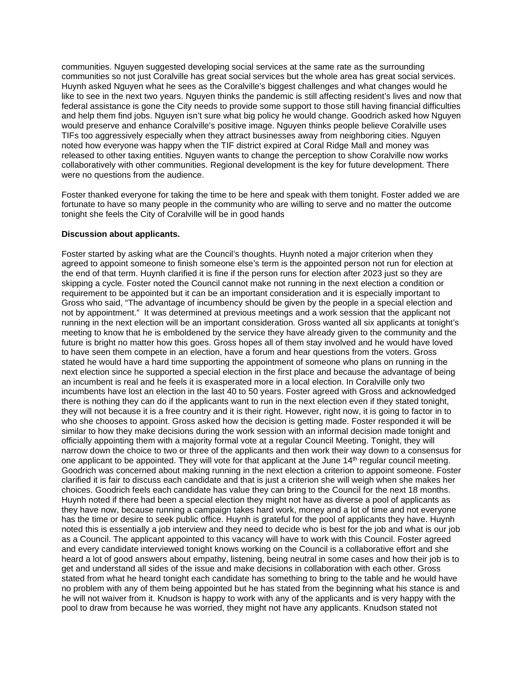communities. Nguyen suggested developing social services at the same rate as the surrounding communities so not just Coralville has great social services but the whole area has great social services. Huynh asked Nguyen what he sees as the Coralville's biggest challenges and what changes would he like to see in the next two years. Nguyen thinks the pandemic is still affecting resident's lives and now that federal assistance is gone the City needs to provide some support to those still having financial difficulties and help them find jobs. Nguyen isn't sure what big policy he would change. Goodrich asked how Nguyen would preserve and enhance Coralville's positive image. Nguyen thinks people believe Coralville uses TIFs too aggressively especially when they attract businesses away from neighboring cities. Nguyen noted how everyone was happy when the TIF district expired at Coral Ridge Mall and money was released to other taxing entities. Nguyen wants to change the perception to show Coralville now works collaboratively with other communities. Regional development is the key for future development. There were no questions from the audience.

Foster thanked everyone for taking the time to be here and speak with them tonight. Foster added we are fortunate to have so many people in the community who are willing to serve and no matter the outcome tonight she feels the City of Coralville will be in good hands

### **Discussion about applicants.**

Foster started by asking what are the Council's thoughts. Huynh noted a major criterion when they agreed to appoint someone to finish someone else's term is the appointed person not run for election at the end of that term. Huynh clarified it is fine if the person runs for election after 2023 just so they are skipping a cycle. Foster noted the Council cannot make not running in the next election a condition or requirement to be appointed but it can be an important consideration and it is especially important to Gross who said, "The advantage of incumbency should be given by the people in a special election and not by appointment." It was determined at previous meetings and a work session that the applicant not running in the next election will be an important consideration. Gross wanted all six applicants at tonight's meeting to know that he is emboldened by the service they have already given to the community and the future is bright no matter how this goes. Gross hopes all of them stay involved and he would have loved to have seen them compete in an election, have a forum and hear questions from the voters. Gross stated he would have a hard time supporting the appointment of someone who plans on running in the next election since he supported a special election in the first place and because the advantage of being an incumbent is real and he feels it is exasperated more in a local election. In Coralville only two incumbents have lost an election in the last 40 to 50 years. Foster agreed with Gross and acknowledged there is nothing they can do if the applicants want to run in the next election even if they stated tonight, they will not because it is a free country and it is their right. However, right now, it is going to factor in to who she chooses to appoint. Gross asked how the decision is getting made. Foster responded it will be similar to how they make decisions during the work session with an informal decision made tonight and officially appointing them with a majority formal vote at a regular Council Meeting. Tonight, they will narrow down the choice to two or three of the applicants and then work their way down to a consensus for one applicant to be appointed. They will vote for that applicant at the June  $14<sup>th</sup>$  regular council meeting. Goodrich was concerned about making running in the next election a criterion to appoint someone. Foster clarified it is fair to discuss each candidate and that is just a criterion she will weigh when she makes her choices. Goodrich feels each candidate has value they can bring to the Council for the next 18 months. Huynh noted if there had been a special election they might not have as diverse a pool of applicants as they have now, because running a campaign takes hard work, money and a lot of time and not everyone has the time or desire to seek public office. Huynh is grateful for the pool of applicants they have. Huynh noted this is essentially a job interview and they need to decide who is best for the job and what is our job as a Council. The applicant appointed to this vacancy will have to work with this Council. Foster agreed and every candidate interviewed tonight knows working on the Council is a collaborative effort and she heard a lot of good answers about empathy, listening, being neutral in some cases and how their job is to get and understand all sides of the issue and make decisions in collaboration with each other. Gross stated from what he heard tonight each candidate has something to bring to the table and he would have no problem with any of them being appointed but he has stated from the beginning what his stance is and he will not waiver from it. Knudson is happy to work with any of the applicants and is very happy with the pool to draw from because he was worried, they might not have any applicants. Knudson stated not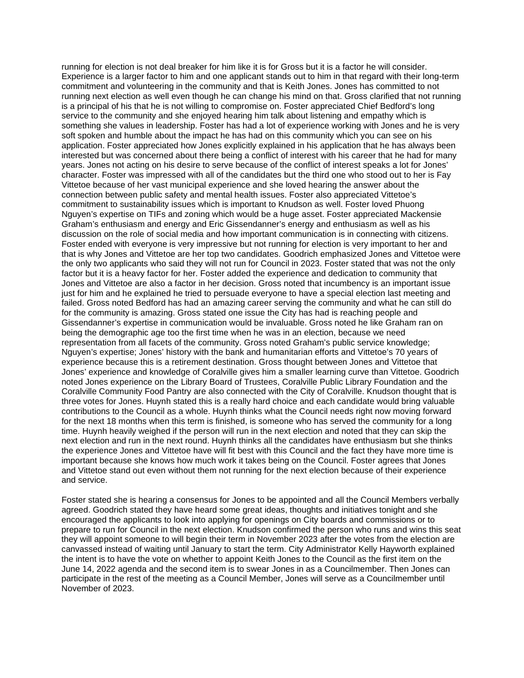running for election is not deal breaker for him like it is for Gross but it is a factor he will consider. Experience is a larger factor to him and one applicant stands out to him in that regard with their long-term commitment and volunteering in the community and that is Keith Jones. Jones has committed to not running next election as well even though he can change his mind on that. Gross clarified that not running is a principal of his that he is not willing to compromise on. Foster appreciated Chief Bedford's long service to the community and she enjoyed hearing him talk about listening and empathy which is something she values in leadership. Foster has had a lot of experience working with Jones and he is very soft spoken and humble about the impact he has had on this community which you can see on his application. Foster appreciated how Jones explicitly explained in his application that he has always been interested but was concerned about there being a conflict of interest with his career that he had for many years. Jones not acting on his desire to serve because of the conflict of interest speaks a lot for Jones' character. Foster was impressed with all of the candidates but the third one who stood out to her is Fay Vittetoe because of her vast municipal experience and she loved hearing the answer about the connection between public safety and mental health issues. Foster also appreciated Vittetoe's commitment to sustainability issues which is important to Knudson as well. Foster loved Phuong Nguyen's expertise on TIFs and zoning which would be a huge asset. Foster appreciated Mackensie Graham's enthusiasm and energy and Eric Gissendanner's energy and enthusiasm as well as his discussion on the role of social media and how important communication is in connecting with citizens. Foster ended with everyone is very impressive but not running for election is very important to her and that is why Jones and Vittetoe are her top two candidates. Goodrich emphasized Jones and Vittetoe were the only two applicants who said they will not run for Council in 2023. Foster stated that was not the only factor but it is a heavy factor for her. Foster added the experience and dedication to community that Jones and Vittetoe are also a factor in her decision. Gross noted that incumbency is an important issue just for him and he explained he tried to persuade everyone to have a special election last meeting and failed. Gross noted Bedford has had an amazing career serving the community and what he can still do for the community is amazing. Gross stated one issue the City has had is reaching people and Gissendanner's expertise in communication would be invaluable. Gross noted he like Graham ran on being the demographic age too the first time when he was in an election, because we need representation from all facets of the community. Gross noted Graham's public service knowledge; Nguyen's expertise; Jones' history with the bank and humanitarian efforts and Vittetoe's 70 years of experience because this is a retirement destination. Gross thought between Jones and Vittetoe that Jones' experience and knowledge of Coralville gives him a smaller learning curve than Vittetoe. Goodrich noted Jones experience on the Library Board of Trustees, Coralville Public Library Foundation and the Coralville Community Food Pantry are also connected with the City of Coralville. Knudson thought that is three votes for Jones. Huynh stated this is a really hard choice and each candidate would bring valuable contributions to the Council as a whole. Huynh thinks what the Council needs right now moving forward for the next 18 months when this term is finished, is someone who has served the community for a long time. Huynh heavily weighed if the person will run in the next election and noted that they can skip the next election and run in the next round. Huynh thinks all the candidates have enthusiasm but she thinks the experience Jones and Vittetoe have will fit best with this Council and the fact they have more time is important because she knows how much work it takes being on the Council. Foster agrees that Jones and Vittetoe stand out even without them not running for the next election because of their experience and service.

Foster stated she is hearing a consensus for Jones to be appointed and all the Council Members verbally agreed. Goodrich stated they have heard some great ideas, thoughts and initiatives tonight and she encouraged the applicants to look into applying for openings on City boards and commissions or to prepare to run for Council in the next election. Knudson confirmed the person who runs and wins this seat they will appoint someone to will begin their term in November 2023 after the votes from the election are canvassed instead of waiting until January to start the term. City Administrator Kelly Hayworth explained the intent is to have the vote on whether to appoint Keith Jones to the Council as the first item on the June 14, 2022 agenda and the second item is to swear Jones in as a Councilmember. Then Jones can participate in the rest of the meeting as a Council Member, Jones will serve as a Councilmember until November of 2023.